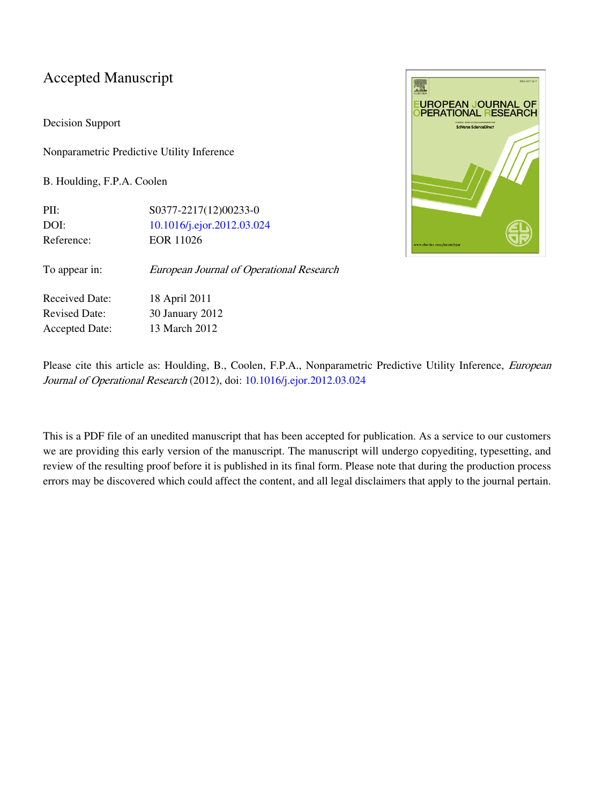### Accepted Manuscript

Decision Support

Nonparametric Predictive Utility Inference

B. Houlding, F.P.A. Coolen

PII: S0377-2217(12)00233-0 DOI: [10.1016/j.ejor.2012.03.024](http://dx.doi.org/10.1016/j.ejor.2012.03.024) Reference: EOR 11026

To appear in: European Journal of Operational Research

Received Date: 18 April 2011 Revised Date: 30 January 2012 Accepted Date: 13 March 2012



Please cite this article as: Houlding, B., Coolen, F.P.A., Nonparametric Predictive Utility Inference, *European* Journal of Operational Research (2012), doi: [10.1016/j.ejor.2012.03.024](http://dx.doi.org/10.1016/j.ejor.2012.03.024)

This is a PDF file of an unedited manuscript that has been accepted for publication. As a service to our customers we are providing this early version of the manuscript. The manuscript will undergo copyediting, typesetting, and review of the resulting proof before it is published in its final form. Please note that during the production process errors may be discovered which could affect the content, and all legal disclaimers that apply to the journal pertain.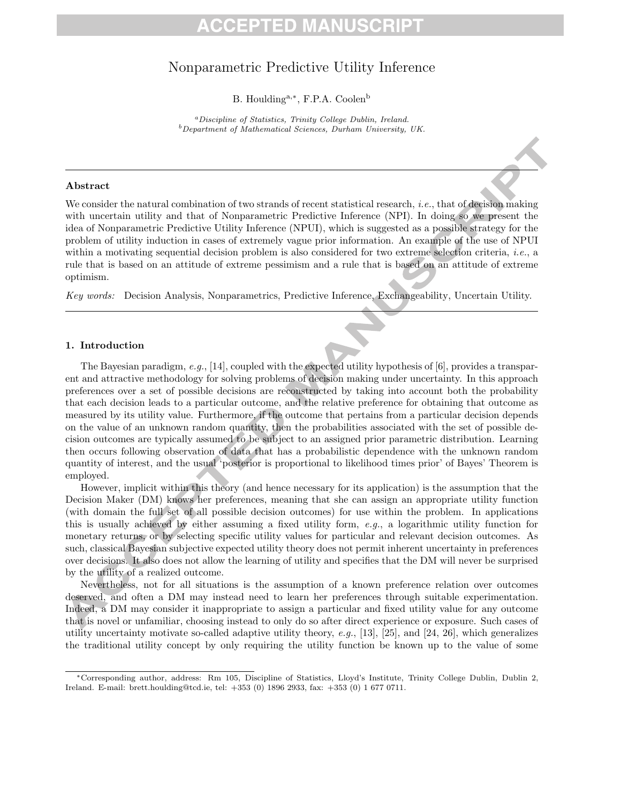## **CEPTED MANUSCRI**

### Nonparametric Predictive Utility Inference

B. Houlding<sup>a,\*</sup>, F.P.A. Coolen<sup>b</sup>

*<sup>a</sup>Discipline of Statistics, Trinity College Dublin, Ireland. <sup>b</sup>Department of Mathematical Sciences, Durham University, UK.*

#### Abstract

We consider the natural combination of two strands of recent statistical research, *i.e.*, that of decision making with uncertain utility and that of Nonparametric Predictive Inference (NPI). In doing so we present the idea of Nonparametric Predictive Utility Inference (NPUI), which is suggested as a possible strategy for the problem of utility induction in cases of extremely vague prior information. An example of the use of NPUI within a motivating sequential decision problem is also considered for two extreme selection criteria, *i.e.*, a rule that is based on an attitude of extreme pessimism and a rule that is based on an attitude of extreme optimism.

*Key words:* Decision Analysis, Nonparametrics, Predictive Inference, Exchangeability, Uncertain Utility.

#### 1. Introduction

The Bayesian paradigm, *e.g.*, [14], coupled with the expected utility hypothesis of [6], provides a transparent and attractive methodology for solving problems of decision making under uncertainty. In this approach preferences over a set of possible decisions are reconstructed by taking into account both the probability that each decision leads to a particular outcome, and the relative preference for obtaining that outcome as measured by its utility value. Furthermore, if the outcome that pertains from a particular decision depends on the value of an unknown random quantity, then the probabilities associated with the set of possible decision outcomes are typically assumed to be subject to an assigned prior parametric distribution. Learning then occurs following observation of data that has a probabilistic dependence with the unknown random quantity of interest, and the usual 'posterior is proportional to likelihood times prior' of Bayes' Theorem is employed.

However, implicit within this theory (and hence necessary for its application) is the assumption that the Decision Maker (DM) knows her preferences, meaning that she can assign an appropriate utility function (with domain the full set of all possible decision outcomes) for use within the problem. In applications this is usually achieved by either assuming a fixed utility form, *e.g.*, a logarithmic utility function for monetary returns, or by selecting specific utility values for particular and relevant decision outcomes. As such, classical Bayesian subjective expected utility theory does not permit inherent uncertainty in preferences over decisions. It also does not allow the learning of utility and specifies that the DM will never be surprised by the utility of a realized outcome.

Nevertheless, not for all situations is the assumption of a known preference relation over outcomes deserved, and often a DM may instead need to learn her preferences through suitable experimentation. Indeed, a DM may consider it inappropriate to assign a particular and fixed utility value for any outcome that is novel or unfamiliar, choosing instead to only do so after direct experience or exposure. Such cases of utility uncertainty motivate so-called adaptive utility theory, *e.g.*, [13], [25], and [24, 26], which generalizes the traditional utility concept by only requiring the utility function be known up to the value of some

<sup>§</sup>Corresponding author, address: Rm 105, Discipline of Statistics, Lloyd's Institute, Trinity College Dublin, Dublin 2, Ireland. E-mail: brett.houlding@tcd.ie, tel: +353 (0) 1896 2933, fax: +353 (0) 1 677 0711.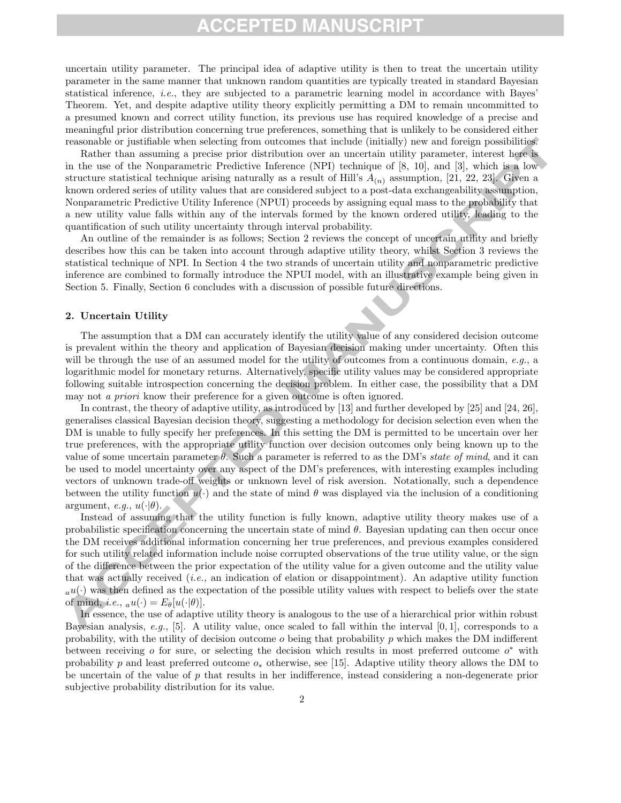uncertain utility parameter. The principal idea of adaptive utility is then to treat the uncertain utility parameter in the same manner that unknown random quantities are typically treated in standard Bayesian statistical inference, *i.e.*, they are subjected to a parametric learning model in accordance with Bayes' Theorem. Yet, and despite adaptive utility theory explicitly permitting a DM to remain uncommitted to a presumed known and correct utility function, its previous use has required knowledge of a precise and meaningful prior distribution concerning true preferences, something that is unlikely to be considered either reasonable or justifiable when selecting from outcomes that include (initially) new and foreign possibilities.

Rather than assuming a precise prior distribution over an uncertain utility parameter, interest here is in the use of the Nonparametric Predictive Inference (NPI) technique of [8, 10], and [3], which is a low structure statistical technique arising naturally as a result of Hill's  $A_{(n)}$  assumption, [21, 22, 23]. Given a known ordered series of utility values that are considered subject to a post-data exchangeability assumption, Nonparametric Predictive Utility Inference (NPUI) proceeds by assigning equal mass to the probability that a new utility value falls within any of the intervals formed by the known ordered utility, leading to the quantification of such utility uncertainty through interval probability.

An outline of the remainder is as follows; Section 2 reviews the concept of uncertain utility and briefly describes how this can be taken into account through adaptive utility theory, whilst Section 3 reviews the statistical technique of NPI. In Section 4 the two strands of uncertain utility and nonparametric predictive inference are combined to formally introduce the NPUI model, with an illustrative example being given in Section 5. Finally, Section 6 concludes with a discussion of possible future directions.

#### 2. Uncertain Utility

The assumption that a DM can accurately identify the utility value of any considered decision outcome is prevalent within the theory and application of Bayesian decision making under uncertainty. Often this will be through the use of an assumed model for the utility of outcomes from a continuous domain, *e.g.*, a logarithmic model for monetary returns. Alternatively, specific utility values may be considered appropriate following suitable introspection concerning the decision problem. In either case, the possibility that a DM may not *a priori* know their preference for a given outcome is often ignored.

In contrast, the theory of adaptive utility, as introduced by [13] and further developed by [25] and [24, 26], generalises classical Bayesian decision theory, suggesting a methodology for decision selection even when the DM is unable to fully specify her preferences. In this setting the DM is permitted to be uncertain over her true preferences, with the appropriate utility function over decision outcomes only being known up to the value of some uncertain parameter  $\theta$ . Such a parameter is referred to as the DM's *state of mind*, and it can be used to model uncertainty over any aspect of the DM's preferences, with interesting examples including vectors of unknown trade-oÆ weights or unknown level of risk aversion. Notationally, such a dependence between the utility function  $u(\cdot)$  and the state of mind  $\theta$  was displayed via the inclusion of a conditioning argument, *e.g.*,  $u(\cdot|\theta)$ .

Instead of assuming that the utility function is fully known, adaptive utility theory makes use of a probabilistic specification concerning the uncertain state of mind  $\theta$ . Bayesian updating can then occur once the DM receives additional information concerning her true preferences, and previous examples considered for such utility related information include noise corrupted observations of the true utility value, or the sign of the diÆerence between the prior expectation of the utility value for a given outcome and the utility value that was actually received (*i.e.,* an indication of elation or disappointment). An adaptive utility function  $a_{\mu}u(\cdot)$  was then defined as the expectation of the possible utility values with respect to beliefs over the state of mind, *i.e.*,  $_{a}u(\cdot) = E_{\theta}[u(\cdot|\theta)].$ 

In essence, the use of adaptive utility theory is analogous to the use of a hierarchical prior within robust Bayesian analysis, *e.g.*, [5]. A utility value, once scaled to fall within the interval [0*,* 1], corresponds to a probability, with the utility of decision outcome  $o$  being that probability  $p$  which makes the DM indifferent between receiving  $\sigma$  for sure, or selecting the decision which results in most preferred outcome  $\sigma^*$  with probability  $p$  and least preferred outcome  $o<sub>∗</sub>$  otherwise, see [15]. Adaptive utility theory allows the DM to be uncertain of the value of p that results in her indifference, instead considering a non-degenerate prior subjective probability distribution for its value.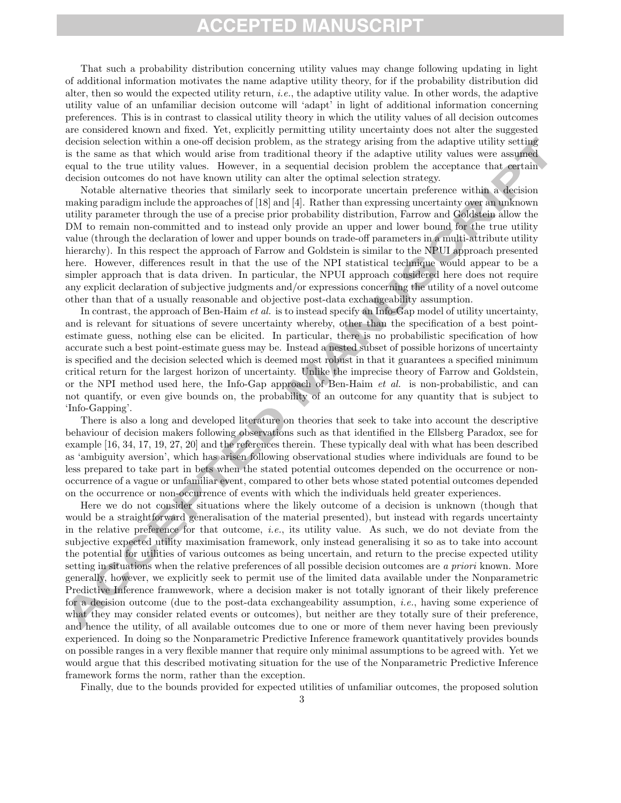That such a probability distribution concerning utility values may change following updating in light of additional information motivates the name adaptive utility theory, for if the probability distribution did alter, then so would the expected utility return, *i.e.*, the adaptive utility value. In other words, the adaptive utility value of an unfamiliar decision outcome will 'adapt' in light of additional information concerning preferences. This is in contrast to classical utility theory in which the utility values of all decision outcomes are considered known and fixed. Yet, explicitly permitting utility uncertainty does not alter the suggested decision selection within a one-off decision problem, as the strategy arising from the adaptive utility setting is the same as that which would arise from traditional theory if the adaptive utility values were assumed equal to the true utility values. However, in a sequential decision problem the acceptance that certain decision outcomes do not have known utility can alter the optimal selection strategy.

Notable alternative theories that similarly seek to incorporate uncertain preference within a decision making paradigm include the approaches of [18] and [4]. Rather than expressing uncertainty over an unknown utility parameter through the use of a precise prior probability distribution, Farrow and Goldstein allow the DM to remain non-committed and to instead only provide an upper and lower bound for the true utility value (through the declaration of lower and upper bounds on trade-off parameters in a multi-attribute utility hierarchy). In this respect the approach of Farrow and Goldstein is similar to the NPUI approach presented here. However, differences result in that the use of the NPI statistical technique would appear to be a simpler approach that is data driven. In particular, the NPUI approach considered here does not require any explicit declaration of subjective judgments and/or expressions concerning the utility of a novel outcome other than that of a usually reasonable and objective post-data exchangeability assumption.

In contrast, the approach of Ben-Haim *et al.* is to instead specify an Info-Gap model of utility uncertainty, and is relevant for situations of severe uncertainty whereby, other than the specification of a best pointestimate guess, nothing else can be elicited. In particular, there is no probabilistic specification of how accurate such a best point-estimate guess may be. Instead a nested subset of possible horizons of uncertainty is specified and the decision selected which is deemed most robust in that it guarantees a specified minimum critical return for the largest horizon of uncertainty. Unlike the imprecise theory of Farrow and Goldstein, or the NPI method used here, the Info-Gap approach of Ben-Haim *et al.* is non-probabilistic, and can not quantify, or even give bounds on, the probability of an outcome for any quantity that is subject to 'Info-Gapping'.

There is also a long and developed literature on theories that seek to take into account the descriptive behaviour of decision makers following observations such as that identified in the Ellsberg Paradox, see for example [16, 34, 17, 19, 27, 20] and the references therein. These typically deal with what has been described as 'ambiguity aversion', which has arisen following observational studies where individuals are found to be less prepared to take part in bets when the stated potential outcomes depended on the occurrence or nonoccurrence of a vague or unfamiliar event, compared to other bets whose stated potential outcomes depended on the occurrence or non-occurrence of events with which the individuals held greater experiences.

Here we do not consider situations where the likely outcome of a decision is unknown (though that would be a straightforward generalisation of the material presented), but instead with regards uncertainty in the relative preference for that outcome, *i.e.*, its utility value. As such, we do not deviate from the subjective expected utility maximisation framework, only instead generalising it so as to take into account the potential for utilities of various outcomes as being uncertain, and return to the precise expected utility setting in situations when the relative preferences of all possible decision outcomes are *a priori* known. More generally, however, we explicitly seek to permit use of the limited data available under the Nonparametric Predictive Inference framwework, where a decision maker is not totally ignorant of their likely preference for a decision outcome (due to the post-data exchangeability assumption, *i.e.*, having some experience of what they may consider related events or outcomes), but neither are they totally sure of their preference, and hence the utility, of all available outcomes due to one or more of them never having been previously experienced. In doing so the Nonparametric Predictive Inference framework quantitatively provides bounds on possible ranges in a very flexible manner that require only minimal assumptions to be agreed with. Yet we would argue that this described motivating situation for the use of the Nonparametric Predictive Inference framework forms the norm, rather than the exception.

Finally, due to the bounds provided for expected utilities of unfamiliar outcomes, the proposed solution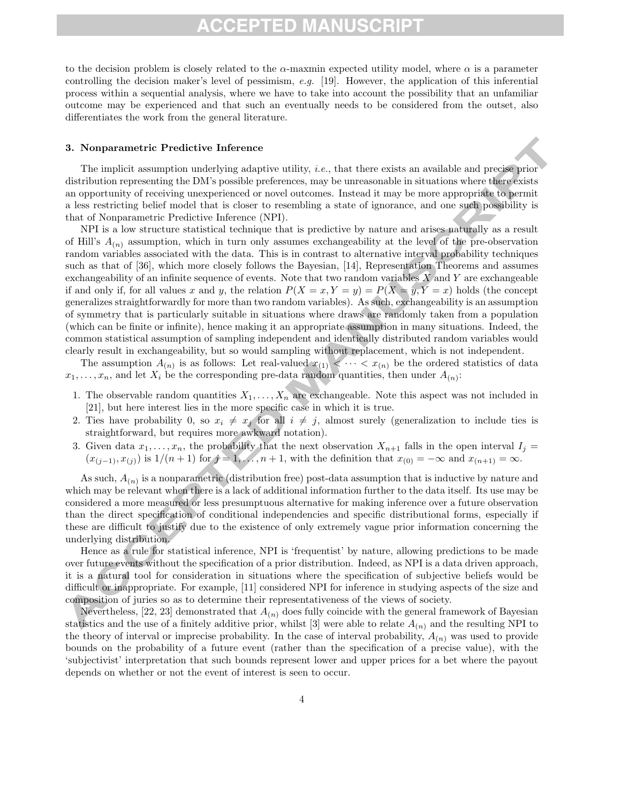to the decision problem is closely related to the  $\alpha$ -maxmin expected utility model, where  $\alpha$  is a parameter controlling the decision maker's level of pessimism, *e.g.* [19]. However, the application of this inferential process within a sequential analysis, where we have to take into account the possibility that an unfamiliar outcome may be experienced and that such an eventually needs to be considered from the outset, also differentiates the work from the general literature.

#### 3. Nonparametric Predictive Inference

The implicit assumption underlying adaptive utility, *i.e.*, that there exists an available and precise prior distribution representing the DM's possible preferences, may be unreasonable in situations where there exists an opportunity of receiving unexperienced or novel outcomes. Instead it may be more appropriate to permit a less restricting belief model that is closer to resembling a state of ignorance, and one such possibility is that of Nonparametric Predictive Inference (NPI).

NPI is a low structure statistical technique that is predictive by nature and arises naturally as a result of Hill's  $A_{(n)}$  assumption, which in turn only assumes exchangeability at the level of the pre-observation random variables associated with the data. This is in contrast to alternative interval probability techniques such as that of [36], which more closely follows the Bayesian, [14], Representation Theorems and assumes exchangeability of an infinite sequence of events. Note that two random variables *X* and *Y* are exchangeable if and only if, for all values x and y, the relation  $P(X = x, Y = y) = P(X = y, Y = x)$  holds (the concept generalizes straightforwardly for more than two random variables). As such, exchangeability is an assumption of symmetry that is particularly suitable in situations where draws are randomly taken from a population (which can be finite or infinite), hence making it an appropriate assumption in many situations. Indeed, the common statistical assumption of sampling independent and identically distributed random variables would clearly result in exchangeability, but so would sampling without replacement, which is not independent.

The assumption  $A_{(n)}$  is as follows: Let real-valued  $x_{(1)} \lt \cdots \lt x_{(n)}$  be the ordered statistics of data  $x_1, \ldots, x_n$  and let  $X_i$  be the corresponding pre-data random quantities, then under  $A_{(n)}$ :

- 1. The observable random quantities  $X_1, \ldots, X_n$  are exchangeable. Note this aspect was not included in [21], but here interest lies in the more specific case in which it is true.
- 2. Ties have probability 0, so  $x_i \neq x_j$  for all  $i \neq j$ , almost surely (generalization to include ties is straightforward, but requires more awkward notation).
- 3. Given data  $x_1, \ldots, x_n$ , the probability that the next observation  $X_{n+1}$  falls in the open interval  $I_j =$  $(x_{(j-1)}, x_{(j)})$  is  $1/(n+1)$  for  $j = 1, ..., n+1$ , with the definition that  $x_{(0)} = -\infty$  and  $x_{(n+1)} = \infty$ .

As such,  $A_{(n)}$  is a nonparametric (distribution free) post-data assumption that is inductive by nature and which may be relevant when there is a lack of additional information further to the data itself. Its use may be considered a more measured or less presumptuous alternative for making inference over a future observation than the direct specification of conditional independencies and specific distributional forms, especially if these are difficult to justify due to the existence of only extremely vague prior information concerning the underlying distribution.

Hence as a rule for statistical inference, NPI is 'frequentist' by nature, allowing predictions to be made over future events without the specification of a prior distribution. Indeed, as NPI is a data driven approach, it is a natural tool for consideration in situations where the specification of subjective beliefs would be difficult or inappropriate. For example, [11] considered NPI for inference in studying aspects of the size and composition of juries so as to determine their representativeness of the views of society.

Nevertheless,  $[22, 23]$  demonstrated that  $A_{(n)}$  does fully coincide with the general framework of Bayesian statistics and the use of a finitely additive prior, whilst [3] were able to relate  $A_{(n)}$  and the resulting NPI to the theory of interval or imprecise probability. In the case of interval probability,  $A_{(n)}$  was used to provide bounds on the probability of a future event (rather than the specification of a precise value), with the 'subjectivist' interpretation that such bounds represent lower and upper prices for a bet where the payout depends on whether or not the event of interest is seen to occur.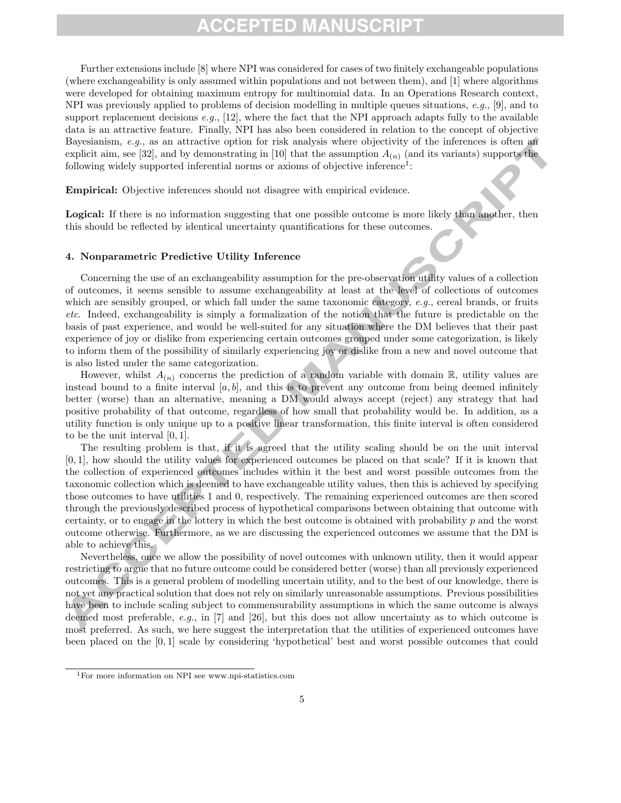Further extensions include [8] where NPI was considered for cases of two finitely exchangeable populations (where exchangeability is only assumed within populations and not between them), and [1] where algorithms were developed for obtaining maximum entropy for multinomial data. In an Operations Research context, NPI was previously applied to problems of decision modelling in multiple queues situations, *e.g.*, [9], and to support replacement decisions *e.g.*, [12], where the fact that the NPI approach adapts fully to the available data is an attractive feature. Finally, NPI has also been considered in relation to the concept of objective Bayesianism, *e.g.*, as an attractive option for risk analysis where objectivity of the inferences is often an explicit aim, see [32], and by demonstrating in [10] that the assumption  $A_{(n)}$  (and its variants) supports the following widely supported inferential norms or axioms of objective inference<sup>1</sup>:

Empirical: Objective inferences should not disagree with empirical evidence.

Logical: If there is no information suggesting that one possible outcome is more likely than another, then this should be reflected by identical uncertainty quantifications for these outcomes.

#### 4. Nonparametric Predictive Utility Inference

Concerning the use of an exchangeability assumption for the pre-observation utility values of a collection of outcomes, it seems sensible to assume exchangeability at least at the level of collections of outcomes which are sensibly grouped, or which fall under the same taxonomic category, *e.g.*, cereal brands, or fruits *etc*. Indeed, exchangeability is simply a formalization of the notion that the future is predictable on the basis of past experience, and would be well-suited for any situation where the DM believes that their past experience of joy or dislike from experiencing certain outcomes grouped under some categorization, is likely to inform them of the possibility of similarly experiencing joy or dislike from a new and novel outcome that is also listed under the same categorization.

However, whilst  $A_{(n)}$  concerns the prediction of a random variable with domain R, utility values are instead bound to a finite interval  $[a, b]$ , and this is to prevent any outcome from being deemed infinitely better (worse) than an alternative, meaning a DM would always accept (reject) any strategy that had positive probability of that outcome, regardless of how small that probability would be. In addition, as a utility function is only unique up to a positive linear transformation, this finite interval is often considered to be the unit interval [0*,* 1].

The resulting problem is that, if it is agreed that the utility scaling should be on the unit interval [0*,* 1], how should the utility values for experienced outcomes be placed on that scale? If it is known that the collection of experienced outcomes includes within it the best and worst possible outcomes from the taxonomic collection which is deemed to have exchangeable utility values, then this is achieved by specifying those outcomes to have utilities 1 and 0, respectively. The remaining experienced outcomes are then scored through the previously described process of hypothetical comparisons between obtaining that outcome with certainty, or to engage in the lottery in which the best outcome is obtained with probability *p* and the worst outcome otherwise. Furthermore, as we are discussing the experienced outcomes we assume that the DM is able to achieve this.

Nevertheless, once we allow the possibility of novel outcomes with unknown utility, then it would appear restricting to argue that no future outcome could be considered better (worse) than all previously experienced outcomes. This is a general problem of modelling uncertain utility, and to the best of our knowledge, there is not yet any practical solution that does not rely on similarly unreasonable assumptions. Previous possibilities have been to include scaling subject to commensurability assumptions in which the same outcome is always deemed most preferable, *e.g.*, in [7] and [26], but this does not allow uncertainty as to which outcome is most preferred. As such, we here suggest the interpretation that the utilities of experienced outcomes have been placed on the [0*,* 1] scale by considering 'hypothetical' best and worst possible outcomes that could

<sup>1</sup>For more information on NPI see www.npi-statistics.com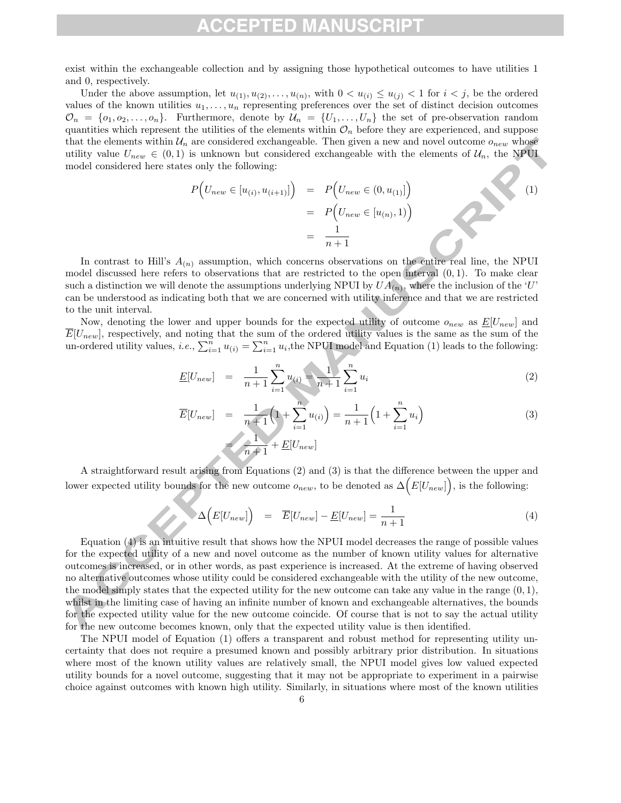exist within the exchangeable collection and by assigning those hypothetical outcomes to have utilities 1 and 0, respectively.

Under the above assumption, let  $u_{(1)}, u_{(2)}, \ldots, u_{(n)}$ , with  $0 < u_{(i)} \le u_{(j)} < 1$  for  $i < j$ , be the ordered values of the known utilities  $u_1, \ldots, u_n$  representing preferences over the set of distinct decision outcomes  $\mathcal{O}_n = \{o_1, o_2, \ldots, o_n\}$ . Furthermore, denote by  $\mathcal{U}_n = \{U_1, \ldots, U_n\}$  the set of pre-observation random quantities which represent the utilities of the elements within  $\mathcal{O}_n$  before they are experienced, and suppose that the elements within  $U_n$  are considered exchangeable. Then given a new and novel outcome  $o_{new}$  whose utility value  $U_{new} \in (0,1)$  is unknown but considered exchangeable with the elements of  $\mathcal{U}_n$ , the NPUI model considered here states only the following:

$$
P\Big(U_{new} \in [u_{(i)}, u_{(i+1)}]\Big) = P\Big(U_{new} \in (0, u_{(1)}]\Big)
$$
  
= 
$$
P\Big(U_{new} \in [u_{(n)}, 1)\Big)
$$
  
= 
$$
\frac{1}{n+1}
$$

(1)

In contrast to Hill's  $A_{(n)}$  assumption, which concerns observations on the entire real line, the NPUI model discussed here refers to observations that are restricted to the open interval (0*,* 1). To make clear such a distinction we will denote the assumptions underlying NPUI by  $UA_{(n)}$ , where the inclusion of the '*U*' can be understood as indicating both that we are concerned with utility inference and that we are restricted to the unit interval.

Now, denoting the lower and upper bounds for the expected utility of outcome  $o_{new}$  as  $\underline{E}[U_{new}]$  and  $\overline{E}[U_{new}]$ , respectively, and noting that the sum of the ordered utility values is the same as the sum of the un-ordered utility values, *i.e.*,  $\sum_{i=1}^{n} u_{(i)} = \sum_{i=1}^{n} u_i$ , the NPUI model and Equation (1) leads to the following:

$$
\underline{E}[U_{new}] = \frac{1}{n+1} \sum_{i=1}^{n} u_{(i)} = \frac{1}{n+1} \sum_{i=1}^{n} u_i
$$
\n(2)

$$
\overline{E}[U_{new}] = \frac{1}{n+1} \left( 1 + \sum_{i=1}^{n} u_{(i)} \right) = \frac{1}{n+1} \left( 1 + \sum_{i=1}^{n} u_i \right)
$$
\n
$$
= \frac{1}{n+1} + \underline{E}[U_{new}]
$$
\n(3)

A straightforward result arising from Equations (2) and (3) is that the difference between the upper and lower expected utility bounds for the new outcome  $o_{new}$ , to be denoted as  $\Delta(E[U_{new}])$ , is the following:

$$
\Delta \left( E[U_{new}] \right) = \overline{E}[U_{new}] - \underline{E}[U_{new}] = \frac{1}{n+1}
$$
\n(4)

Equation (4) is an intuitive result that shows how the NPUI model decreases the range of possible values for the expected utility of a new and novel outcome as the number of known utility values for alternative outcomes is increased, or in other words, as past experience is increased. At the extreme of having observed no alternative outcomes whose utility could be considered exchangeable with the utility of the new outcome, the model simply states that the expected utility for the new outcome can take any value in the range (0*,* 1), whilst in the limiting case of having an infinite number of known and exchangeable alternatives, the bounds for the expected utility value for the new outcome coincide. Of course that is not to say the actual utility for the new outcome becomes known, only that the expected utility value is then identified.

The NPUI model of Equation (1) offers a transparent and robust method for representing utility uncertainty that does not require a presumed known and possibly arbitrary prior distribution. In situations where most of the known utility values are relatively small, the NPUI model gives low valued expected utility bounds for a novel outcome, suggesting that it may not be appropriate to experiment in a pairwise choice against outcomes with known high utility. Similarly, in situations where most of the known utilities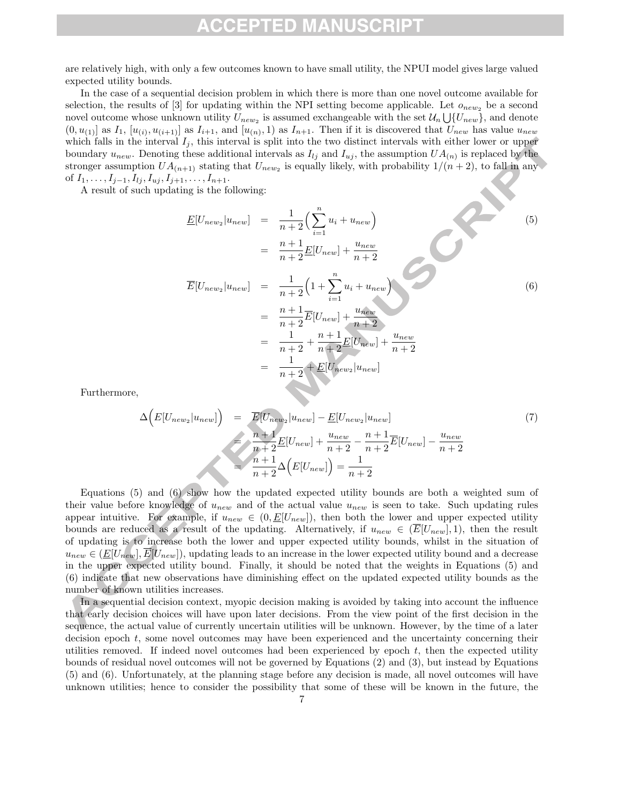are relatively high, with only a few outcomes known to have small utility, the NPUI model gives large valued expected utility bounds.

In the case of a sequential decision problem in which there is more than one novel outcome available for selection, the results of  $[3]$  for updating within the NPI setting become applicable. Let  $o_{new_2}$  be a second novel outcome whose unknown utility  $U_{new_2}$  is assumed exchangeable with the set  $\mathcal{U}_n \cup \{U_{new}\}$ , and denote  $(0, u_{(1)})$  as  $I_1$ ,  $[u_{(i)}, u_{(i+1)}]$  as  $I_{i+1}$ , and  $[u_{(n)}, 1]$  as  $I_{n+1}$ . Then if it is discovered that  $U_{new}$  has value  $u_{new}$ which falls in the interval  $I_j$ , this interval is split into the two distinct intervals with either lower or upper boundary  $u_{new}$ . Denoting these additional intervals as  $I_{lj}$  and  $I_{uj}$ , the assumption  $UA_{(n)}$  is replaced by the stronger assumption  $UA_{(n+1)}$  stating that  $U_{new_2}$  is equally likely, with probability  $1/(n+2)$ , to fall in any of  $I_1, \ldots, I_{i-1}, I_{li}, I_{ui}, I_{i+1}, \ldots, I_{n+1}.$ 

A result of such updating is the following:

$$
E[U_{new2}|u_{new}] = \frac{1}{n+2} \left( \sum_{i=1}^{n} u_i + u_{new} \right)
$$
  
\n
$$
= \frac{n+1}{n+2} E[U_{new}] + \frac{u_{new}}{n+2}
$$
  
\n
$$
\overline{E}[U_{new2}|u_{new}] = \frac{1}{n+2} \left( 1 + \sum_{i=1}^{n} u_i + u_{new} \right)
$$
  
\n
$$
= \frac{n+1}{n+2} \overline{E}[U_{new}] + \frac{u_{new}}{n+2}
$$
  
\n
$$
= \frac{1}{n+2} + \frac{n+1}{n+2} E[U_{new}] + \frac{u_{new}}{n+2}
$$
  
\n
$$
= \frac{1}{n+2} + \frac{1}{2} E[U_{new}] + \frac{u_{new}}{n+2}
$$
  
\n
$$
= \frac{1}{n+2} + \frac{1}{2} E[U_{new}]
$$
  
\n(6)

Furthermore,

$$
\Delta\left(E[U_{new}]u_{new}\right) = \overline{E}[U_{new}]u_{new}] - \underline{E}[U_{new}]u_{new}]
$$
\n
$$
= \frac{n+1}{n+2}\underline{E}[U_{new}] + \frac{u_{new}}{n+2} - \frac{n+1}{n+2}\overline{E}[U_{new}] - \frac{u_{new}}{n+2}
$$
\n
$$
= \frac{n+1}{n+2}\Delta\left(E[U_{new}]\right) = \frac{1}{n+2}
$$
\n(7)

Equations (5) and (6) show how the updated expected utility bounds are both a weighted sum of their value before knowledge of  $u_{new}$  and of the actual value  $u_{new}$  is seen to take. Such updating rules appear intuitive. For example, if  $u_{new} \in (0, E[U_{new}])$ , then both the lower and upper expected utility bounds are reduced as a result of the updating. Alternatively, if  $u_{new} \in (\overline{E}[U_{new}], 1)$ , then the result of updating is to increase both the lower and upper expected utility bounds, whilst in the situation of  $u_{new} \in (E[U_{new}], \overline{E}[U_{new}])$ , updating leads to an increase in the lower expected utility bound and a decrease in the upper expected utility bound. Finally, it should be noted that the weights in Equations (5) and (6) indicate that new observations have diminishing eÆect on the updated expected utility bounds as the number of known utilities increases.

In a sequential decision context, myopic decision making is avoided by taking into account the influence that early decision choices will have upon later decisions. From the view point of the first decision in the sequence, the actual value of currently uncertain utilities will be unknown. However, by the time of a later decision epoch *t*, some novel outcomes may have been experienced and the uncertainty concerning their utilities removed. If indeed novel outcomes had been experienced by epoch *t*, then the expected utility bounds of residual novel outcomes will not be governed by Equations (2) and (3), but instead by Equations (5) and (6). Unfortunately, at the planning stage before any decision is made, all novel outcomes will have unknown utilities; hence to consider the possibility that some of these will be known in the future, the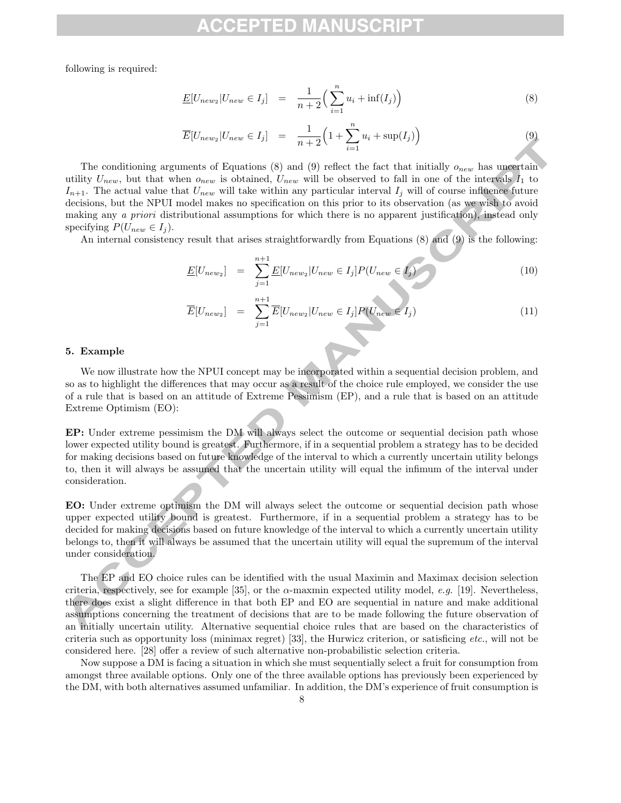### **EPTED MANU**

following is required:

$$
\underline{E}[U_{new_2}|U_{new} \in I_j] = \frac{1}{n+2} \Big( \sum_{i=1}^n u_i + \inf(I_j) \Big) \tag{8}
$$

$$
\overline{E}[U_{new2}|U_{new} \in I_j] = \frac{1}{n+2} \Big(1 + \sum_{i=1}^n u_i + \sup(I_j)\Big) \tag{9}
$$

The conditioning arguments of Equations (8) and (9) reflect the fact that initially *onew* has uncertain utility  $U_{new}$ , but that when  $o_{new}$  is obtained,  $U_{new}$  will be observed to fall in one of the intervals  $I_1$  to  $I_{n+1}$ . The actual value that  $U_{new}$  will take within any particular interval  $I_j$  will of course influence future decisions, but the NPUI model makes no specification on this prior to its observation (as we wish to avoid making any *a priori* distributional assumptions for which there is no apparent justification), instead only specifying  $P(U_{new} \in I_j)$ .

An internal consistency result that arises straightforwardly from Equations (8) and (9) is the following:

$$
\underline{E}[U_{new_2}] = \sum_{j=1}^{n+1} \underline{E}[U_{new_2} | U_{new} \in I_j] P(U_{new} \in I_j)
$$
\n(10)

$$
\overline{E}[U_{new2}] = \sum_{j=1}^{n+1} \overline{E}[U_{new2} | U_{new} \in I_j] P(U_{new} \in I_j)
$$
\n(11)

#### 5. Example

We now illustrate how the NPUI concept may be incorporated within a sequential decision problem, and so as to highlight the differences that may occur as a result of the choice rule employed, we consider the use of a rule that is based on an attitude of Extreme Pessimism (EP), and a rule that is based on an attitude Extreme Optimism (EO):

EP: Under extreme pessimism the DM will always select the outcome or sequential decision path whose lower expected utility bound is greatest. Furthermore, if in a sequential problem a strategy has to be decided for making decisions based on future knowledge of the interval to which a currently uncertain utility belongs to, then it will always be assumed that the uncertain utility will equal the infimum of the interval under consideration.

EO: Under extreme optimism the DM will always select the outcome or sequential decision path whose upper expected utility bound is greatest. Furthermore, if in a sequential problem a strategy has to be decided for making decisions based on future knowledge of the interval to which a currently uncertain utility belongs to, then it will always be assumed that the uncertain utility will equal the supremum of the interval under consideration.

The EP and EO choice rules can be identified with the usual Maximin and Maximax decision selection criteria, respectively, see for example [35], or the  $\alpha$ -maxmin expected utility model, *e.g.* [19]. Nevertheless, there does exist a slight difference in that both EP and EO are sequential in nature and make additional assumptions concerning the treatment of decisions that are to be made following the future observation of an initially uncertain utility. Alternative sequential choice rules that are based on the characteristics of criteria such as opportunity loss (minimax regret) [33], the Hurwicz criterion, or satisficing *etc.*, will not be considered here. [28] offer a review of such alternative non-probabilistic selection criteria.

Now suppose a DM is facing a situation in which she must sequentially select a fruit for consumption from amongst three available options. Only one of the three available options has previously been experienced by the DM, with both alternatives assumed unfamiliar. In addition, the DM's experience of fruit consumption is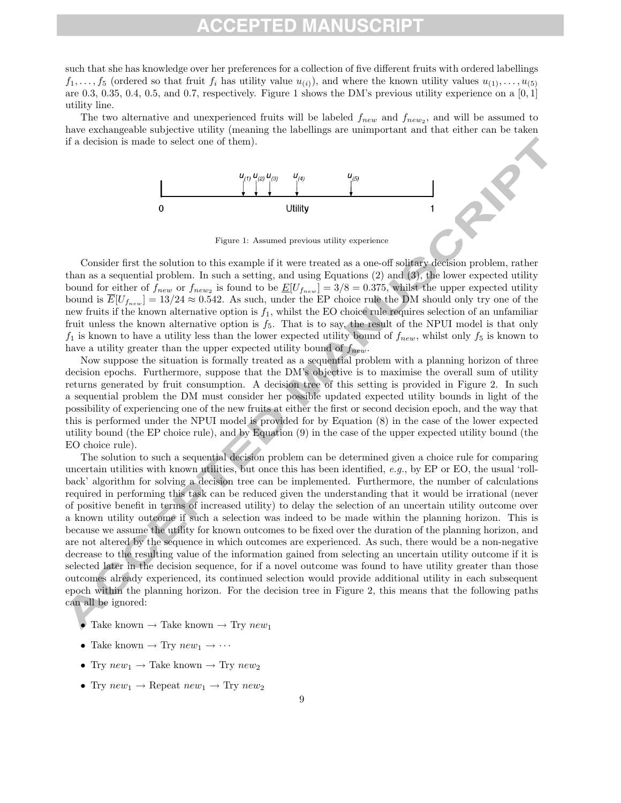such that she has knowledge over her preferences for a collection of five different fruits with ordered labellings  $f_1, \ldots, f_5$  (ordered so that fruit  $f_i$  has utility value  $u_{(i)}$ ), and where the known utility values  $u_{(1)}, \ldots, u_{(5)}$ are 0*.*3, 0*.*35, 0*.*4, 0*.*5, and 0*.*7, respectively. Figure 1 shows the DM's previous utility experience on a [0*,* 1] utility line.

The two alternative and unexperienced fruits will be labeled  $f_{new}$  and  $f_{new2}$ , and will be assumed to have exchangeable subjective utility (meaning the labellings are unimportant and that either can be taken if a decision is made to select one of them).



Figure 1: Assumed previous utility experience

Consider first the solution to this example if it were treated as a one-off solitary decision problem, rather than as a sequential problem. In such a setting, and using Equations (2) and (3), the lower expected utility bound for either of  $f_{new}$  or  $f_{new_2}$  is found to be  $E[U_{f_{new}}] = 3/8 = 0.375$ , whilst the upper expected utility bound is  $\overline{E}[U_{f_{new}}] = 13/24 \approx 0.542$ . As such, under the EP choice rule the DM should only try one of the new fruits if the known alternative option is *f*1, whilst the EO choice rule requires selection of an unfamiliar fruit unless the known alternative option is  $f_5$ . That is to say, the result of the NPUI model is that only  $f_1$  is known to have a utility less than the lower expected utility bound of  $f_{new}$ , whilst only  $f_5$  is known to have a utility greater than the upper expected utility bound of *fnew*.

Now suppose the situation is formally treated as a sequential problem with a planning horizon of three decision epochs. Furthermore, suppose that the DM's objective is to maximise the overall sum of utility returns generated by fruit consumption. A decision tree of this setting is provided in Figure 2. In such a sequential problem the DM must consider her possible updated expected utility bounds in light of the possibility of experiencing one of the new fruits at either the first or second decision epoch, and the way that this is performed under the NPUI model is provided for by Equation (8) in the case of the lower expected utility bound (the EP choice rule), and by Equation (9) in the case of the upper expected utility bound (the EO choice rule).

The solution to such a sequential decision problem can be determined given a choice rule for comparing uncertain utilities with known utilities, but once this has been identified, *e.g.*, by EP or EO, the usual 'rollback' algorithm for solving a decision tree can be implemented. Furthermore, the number of calculations required in performing this task can be reduced given the understanding that it would be irrational (never of positive benefit in terms of increased utility) to delay the selection of an uncertain utility outcome over a known utility outcome if such a selection was indeed to be made within the planning horizon. This is because we assume the utility for known outcomes to be fixed over the duration of the planning horizon, and are not altered by the sequence in which outcomes are experienced. As such, there would be a non-negative decrease to the resulting value of the information gained from selecting an uncertain utility outcome if it is selected later in the decision sequence, for if a novel outcome was found to have utility greater than those outcomes already experienced, its continued selection would provide additional utility in each subsequent epoch within the planning horizon. For the decision tree in Figure 2, this means that the following paths can all be ignored:

- Take known  $\rightarrow$  Take known  $\rightarrow$  Try  $new_1$
- Take known  $\rightarrow$  Try  $new_1 \rightarrow \cdots$
- Try  $new_1 \rightarrow$  Take known  $\rightarrow$  Try  $new_2$
- Try  $new_1 \rightarrow \text{Repeat } new_1 \rightarrow \text{Try } new_2$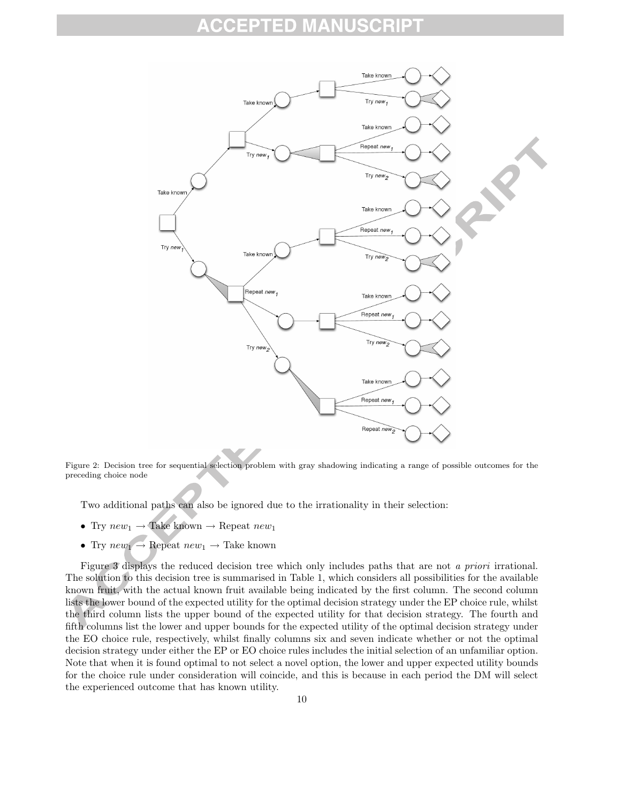### ΞD



Figure 2: Decision tree for sequential selection problem with gray shadowing indicating a range of possible outcomes for the preceding choice node

Two additional paths can also be ignored due to the irrationality in their selection:

- Try  $new_1 \rightarrow$  Take known  $\rightarrow$  Repeat  $new_1$
- Try  $new_1 \rightarrow$  Repeat  $new_1 \rightarrow$  Take known

Figure 3 displays the reduced decision tree which only includes paths that are not *a priori* irrational. The solution to this decision tree is summarised in Table 1, which considers all possibilities for the available known fruit, with the actual known fruit available being indicated by the first column. The second column lists the lower bound of the expected utility for the optimal decision strategy under the EP choice rule, whilst the third column lists the upper bound of the expected utility for that decision strategy. The fourth and fifth columns list the lower and upper bounds for the expected utility of the optimal decision strategy under the EO choice rule, respectively, whilst finally columns six and seven indicate whether or not the optimal decision strategy under either the EP or EO choice rules includes the initial selection of an unfamiliar option. Note that when it is found optimal to not select a novel option, the lower and upper expected utility bounds for the choice rule under consideration will coincide, and this is because in each period the DM will select the experienced outcome that has known utility.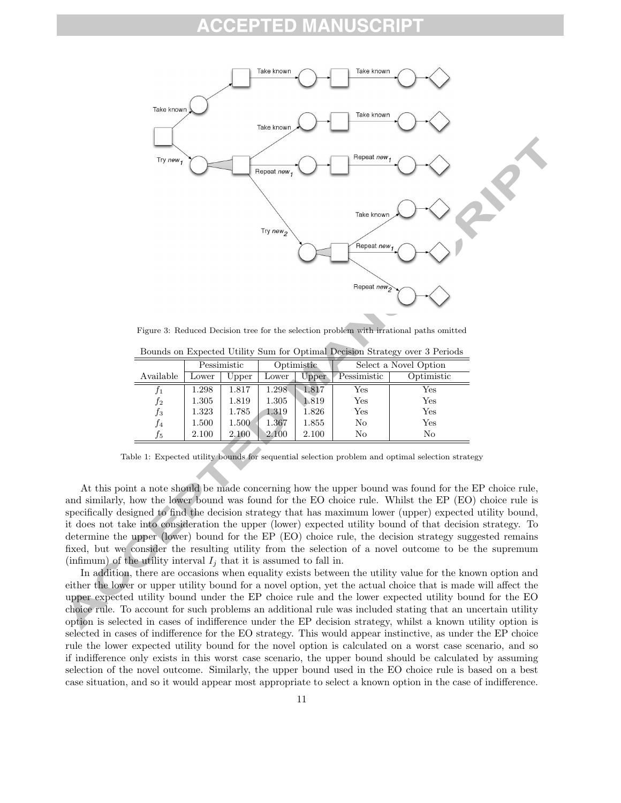### ED



Figure 3: Reduced Decision tree for the selection problem with irrational paths omitted

|           | Pessimistic |       | Optimistic |       | Select a Novel Option |            |
|-----------|-------------|-------|------------|-------|-----------------------|------------|
| Available | Lower       | Upper | Lower      | Upper | Pessimistic           | Optimistic |
| J1        | 1.298       | 1.817 | 1.298      | 1.817 | Yes                   | Yes        |
| $f_2$     | 1.305       | 1.819 | 1.305      | 1.819 | Yes                   | Yes        |
| $f_3$     | 1.323       | 1.785 | 1.319      | 1.826 | Yes                   | Yes        |
| Ť4        | 1.500       | 1.500 | 1.367      | 1.855 | No                    | Yes        |
| Ť5        | 2.100       | 2.100 | 2.100      | 2.100 | No                    | No         |

Bounds on Expected Utility Sum for Optimal Decision Strategy over 3 Periods

Table 1: Expected utility bounds for sequential selection problem and optimal selection strategy

At this point a note should be made concerning how the upper bound was found for the EP choice rule, and similarly, how the lower bound was found for the EO choice rule. Whilst the EP (EO) choice rule is specifically designed to find the decision strategy that has maximum lower (upper) expected utility bound, it does not take into consideration the upper (lower) expected utility bound of that decision strategy. To determine the upper (lower) bound for the EP (EO) choice rule, the decision strategy suggested remains fixed, but we consider the resulting utility from the selection of a novel outcome to be the supremum (infimum) of the utility interval  $I_i$  that it is assumed to fall in.

In addition, there are occasions when equality exists between the utility value for the known option and either the lower or upper utility bound for a novel option, yet the actual choice that is made will affect the upper expected utility bound under the EP choice rule and the lower expected utility bound for the EO choice rule. To account for such problems an additional rule was included stating that an uncertain utility option is selected in cases of indifference under the EP decision strategy, whilst a known utility option is selected in cases of indifference for the EO strategy. This would appear instinctive, as under the EP choice rule the lower expected utility bound for the novel option is calculated on a worst case scenario, and so if indiÆerence only exists in this worst case scenario, the upper bound should be calculated by assuming selection of the novel outcome. Similarly, the upper bound used in the EO choice rule is based on a best case situation, and so it would appear most appropriate to select a known option in the case of indifference.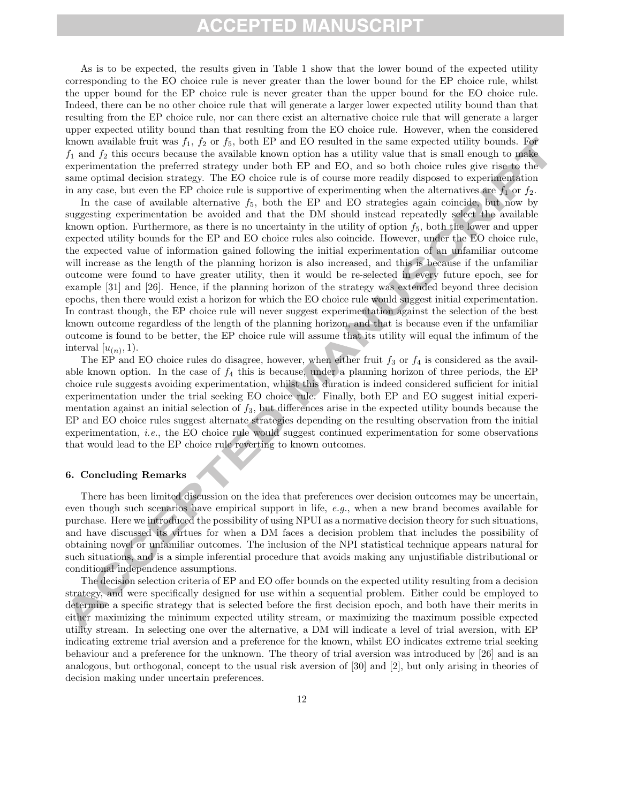As is to be expected, the results given in Table 1 show that the lower bound of the expected utility corresponding to the EO choice rule is never greater than the lower bound for the EP choice rule, whilst the upper bound for the EP choice rule is never greater than the upper bound for the EO choice rule. Indeed, there can be no other choice rule that will generate a larger lower expected utility bound than that resulting from the EP choice rule, nor can there exist an alternative choice rule that will generate a larger upper expected utility bound than that resulting from the EO choice rule. However, when the considered known available fruit was  $f_1$ ,  $f_2$  or  $f_5$ , both EP and EO resulted in the same expected utility bounds. For *f*<sup>1</sup> and *f*<sup>2</sup> this occurs because the available known option has a utility value that is small enough to make experimentation the preferred strategy under both EP and EO, and so both choice rules give rise to the same optimal decision strategy. The EO choice rule is of course more readily disposed to experimentation in any case, but even the EP choice rule is supportive of experimenting when the alternatives are  $f_1$  or  $f_2$ .

In the case of available alternative  $f_5$ , both the EP and EO strategies again coincide, but now by suggesting experimentation be avoided and that the DM should instead repeatedly select the available known option. Furthermore, as there is no uncertainty in the utility of option *f*5, both the lower and upper expected utility bounds for the EP and EO choice rules also coincide. However, under the EO choice rule, the expected value of information gained following the initial experimentation of an unfamiliar outcome will increase as the length of the planning horizon is also increased, and this is because if the unfamiliar outcome were found to have greater utility, then it would be re-selected in every future epoch, see for example [31] and [26]. Hence, if the planning horizon of the strategy was extended beyond three decision epochs, then there would exist a horizon for which the EO choice rule would suggest initial experimentation. In contrast though, the EP choice rule will never suggest experimentation against the selection of the best known outcome regardless of the length of the planning horizon, and that is because even if the unfamiliar outcome is found to be better, the EP choice rule will assume that its utility will equal the infimum of the interval  $[u_{(n)}, 1]$ .

The EP and EO choice rules do disagree, however, when either fruit  $f_3$  or  $f_4$  is considered as the available known option. In the case of  $f_4$  this is because, under a planning horizon of three periods, the EP choice rule suggests avoiding experimentation, whilst this duration is indeed considered sufficient for initial experimentation under the trial seeking EO choice rule. Finally, both EP and EO suggest initial experimentation against an initial selection of  $f_3$ , but differences arise in the expected utility bounds because the EP and EO choice rules suggest alternate strategies depending on the resulting observation from the initial experimentation, *i.e.*, the EO choice rule would suggest continued experimentation for some observations that would lead to the EP choice rule reverting to known outcomes.

### 6. Concluding Remarks

There has been limited discussion on the idea that preferences over decision outcomes may be uncertain, even though such scenarios have empirical support in life, *e.g.*, when a new brand becomes available for purchase. Here we introduced the possibility of using NPUI as a normative decision theory for such situations, and have discussed its virtues for when a DM faces a decision problem that includes the possibility of obtaining novel or unfamiliar outcomes. The inclusion of the NPI statistical technique appears natural for such situations, and is a simple inferential procedure that avoids making any unjustifiable distributional or conditional independence assumptions.

The decision selection criteria of EP and EO offer bounds on the expected utility resulting from a decision strategy, and were specifically designed for use within a sequential problem. Either could be employed to determine a specific strategy that is selected before the first decision epoch, and both have their merits in either maximizing the minimum expected utility stream, or maximizing the maximum possible expected utility stream. In selecting one over the alternative, a DM will indicate a level of trial aversion, with EP indicating extreme trial aversion and a preference for the known, whilst EO indicates extreme trial seeking behaviour and a preference for the unknown. The theory of trial aversion was introduced by [26] and is an analogous, but orthogonal, concept to the usual risk aversion of [30] and [2], but only arising in theories of decision making under uncertain preferences.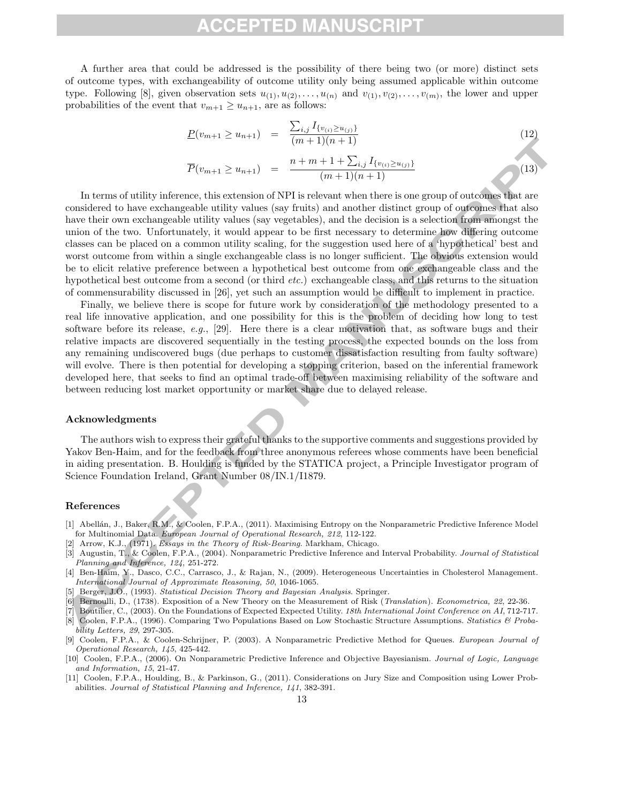A further area that could be addressed is the possibility of there being two (or more) distinct sets of outcome types, with exchangeability of outcome utility only being assumed applicable within outcome type. Following [8], given observation sets  $u_{(1)}, u_{(2)}, \ldots, u_{(n)}$  and  $v_{(1)}, v_{(2)}, \ldots, v_{(m)}$ , the lower and upper probabilities of the event that  $v_{m+1} \ge u_{n+1}$ , are as follows:

$$
\underline{P}(v_{m+1} \ge u_{n+1}) = \frac{\sum_{i,j} I_{\{v_{(i)} \ge u_{(j)}\}}}{(m+1)(n+1)}
$$
\n
$$
\overline{P}(v_{m+1} \ge u_{n+1}) = \frac{n+m+1+\sum_{i,j} I_{\{v_{(i)} \ge u_{(j)}\}}}{(m+1)(n+1)}
$$
\n(13)

In terms of utility inference, this extension of NPI is relevant when there is one group of outcomes that are considered to have exchangeable utility values (say fruits) and another distinct group of outcomes that also have their own exchangeable utility values (say vegetables), and the decision is a selection from amongst the union of the two. Unfortunately, it would appear to be first necessary to determine how differing outcome classes can be placed on a common utility scaling, for the suggestion used here of a 'hypothetical' best and worst outcome from within a single exchangeable class is no longer sufficient. The obvious extension would be to elicit relative preference between a hypothetical best outcome from one exchangeable class and the hypothetical best outcome from a second (or third *etc.*) exchangeable class, and this returns to the situation of commensurability discussed in  $[26]$ , yet such an assumption would be difficult to implement in practice.

Finally, we believe there is scope for future work by consideration of the methodology presented to a real life innovative application, and one possibility for this is the problem of deciding how long to test software before its release, *e.g.*, [29]. Here there is a clear motivation that, as software bugs and their relative impacts are discovered sequentially in the testing process, the expected bounds on the loss from any remaining undiscovered bugs (due perhaps to customer dissatisfaction resulting from faulty software) will evolve. There is then potential for developing a stopping criterion, based on the inferential framework developed here, that seeks to find an optimal trade-off between maximising reliability of the software and between reducing lost market opportunity or market share due to delayed release.

#### Acknowledgments

The authors wish to express their grateful thanks to the supportive comments and suggestions provided by Yakov Ben-Haim, and for the feedback from three anonymous referees whose comments have been beneficial in aiding presentation. B. Houlding is funded by the STATICA project, a Principle Investigator program of Science Foundation Ireland, Grant Number 08/IN.1/I1879.

#### References

- [1] Abellán, J., Baker, R.M., & Coolen, F.P.A., (2011). Maximising Entropy on the Nonparametric Predictive Inference Model for Multinomial Data. *European Journal of Operational Research, 212*, 112-122.
- [2] Arrow, K.J., (1971). *Essays in the Theory of Risk-Bearing*. Markham, Chicago.
- [3] Augustin, T., & Coolen, F.P.A., (2004). Nonparametric Predictive Inference and Interval Probability. *Journal of Statistical Planning and Inference, 124*, 251-272.
- [4] Ben-Haim, Y., Dasco, C.C., Carrasco, J., & Rajan, N., (2009). Heterogeneous Uncertainties in Cholesterol Management. *International Journal of Approximate Reasoning, 50*, 1046-1065.
- [5] Berger, J.O., (1993). *Statistical Decision Theory and Bayesian Analysis*. Springer.
- [6] Bernoulli, D., (1738). Exposition of a New Theory on the Measurement of Risk (*Translation*). *Econometrica, 22*, 22-36.
- [7] Boutilier, C., (2003). On the Foundations of Expected Expected Utility. *18th International Joint Conference on AI*, 712-717. [8] Coolen, F.P.A., (1996). Comparing Two Populations Based on Low Stochastic Structure Assumptions. *Statistics & Proba-*
- *bility Letters, 29*, 297-305.
- [9] Coolen, F.P.A., & Coolen-Schrijner, P. (2003). A Nonparametric Predictive Method for Queues. *European Journal of Operational Research, 145*, 425-442.
- [10] Coolen, F.P.A., (2006). On Nonparametric Predictive Inference and Objective Bayesianism. *Journal of Logic, Language and Information, 15*, 21-47.
- [11] Coolen, F.P.A., Houlding, B., & Parkinson, G., (2011). Considerations on Jury Size and Composition using Lower Probabilities. *Journal of Statistical Planning and Inference, 141*, 382-391.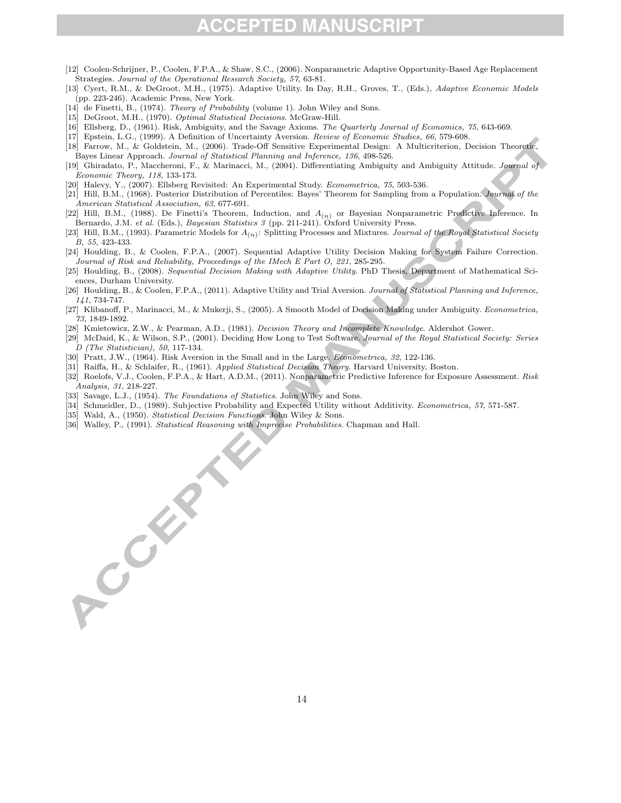- [12] Coolen-Schrijner, P., Coolen, F.P.A., & Shaw, S.C., (2006). Nonparametric Adaptive Opportunity-Based Age Replacement Strategies. *Journal of the Operational Research Society, 57*, 63-81.
- [13] Cyert, R.M., & DeGroot, M.H., (1975). Adaptive Utility. In Day, R.H., Groves, T., (Eds.), *Adaptive Economic Models* (pp. 223-246). Academic Press, New York.
- [14] de Finetti, B., (1974). *Theory of Probability* (volume 1). John Wiley and Sons.
- [15] DeGroot, M.H., (1970). *Optimal Statistical Decisions*. McGraw-Hill.
- [16] Ellsberg, D., (1961). Risk, Ambiguity, and the Savage Axioms. *The Quarterly Journal of Economics, 75*, 643-669.
- [17] Epstein, L.G., (1999). A Definition of Uncertainty Aversion. *Review of Economic Studies, 66*, 579-608.
- [18] Farrow, M., & Goldstein, M., (2006). Trade-OÆ Sensitive Experimental Design: A Multicriterion, Decision Theoretic, Bayes Linear Approach. *Journal of Statistical Planning and Inference, 136*, 498-526.
- [19] Ghiradato, P., Maccheroni, F., & Marinacci, M., (2004). DiÆerentiating Ambiguity and Ambiguity Attitude. *Journal of Economic Theory, 118*, 133-173.
- [20] Halevy, Y., (2007). Ellsberg Revisited: An Experimental Study. *Econometrica, 75*, 503-536.
- [21] Hill, B.M., (1968). Posterior Distribution of Percentiles: Bayes' Theorem for Sampling from a Population. *Journal of the American Statistical Association, 63*, 677-691.
- [22] Hill, B.M., (1988). De Finetti's Theorem, Induction, and *A*(*n*) or Bayesian Nonparametric Predictive Inference. In Bernardo, J.M. *et al.* (Eds.), *Bayesian Statistics 3* (pp. 211-241). Oxford University Press.
- [23] Hill, B.M., (1993). Parametric Models for *A*(*n*): Splitting Processes and Mixtures. *Journal of the Royal Statistical Society B, 55*, 423-433.
- [24] Houlding, B., & Coolen, F.P.A., (2007). Sequential Adaptive Utility Decision Making for System Failure Correction. *Journal of Risk and Reliability, Proceedings of the IMech E Part O, 221*, 285-295.
- [25] Houlding, B., (2008). *Sequential Decision Making with Adaptive Utility*. PhD Thesis, Department of Mathematical Sciences, Durham University.
- [26] Houlding, B., & Coolen, F.P.A., (2011). Adaptive Utility and Trial Aversion. *Journal of Statistical Planning and Inference, 141*, 734-747.
- [27] KlibanoÆ, P., Marinacci, M., & Mukerji, S., (2005). A Smooth Model of Decision Making under Ambiguity. *Econometrica, 73*, 1849-1892.
- [28] Kmietowicz, Z.W., & Pearman, A.D., (1981). *Decision Theory and Incomplete Knowledge*. Aldershot Gower.
- [29] McDaid, K., & Wilson, S.P., (2001). Deciding How Long to Test Software. *Journal of the Royal Statistical Society: Series D (The Statistician), 50*, 117-134.
- [30] Pratt, J.W., (1964). Risk Aversion in the Small and in the Large. *Econometrica, 32*, 122-136.
- [31] RaiÆa, H., & Schlaifer, R., (1961). *Applied Statistical Decision Theory*. Harvard University, Boston.
- [32] Roelofs, V.J., Coolen, F.P.A., & Hart, A.D.M., (2011). Nonparametric Predictive Inference for Exposure Assessment. *Risk Analysis, 31*, 218-227.
- [33] Savage, L.J., (1954). *The Foundations of Statistics*. John Wiley and Sons.
- [34] Schmeidler, D., (1989). Subjective Probability and Expected Utility without Additivity. *Econometrica, 57*, 571-587.
- [35] Wald, A., (1950). *Statistical Decision Functions*. John Wiley & Sons.

A COLLAR R

[36] Walley, P., (1991). *Statistical Reasoning with Imprecise Probabilities*. Chapman and Hall.